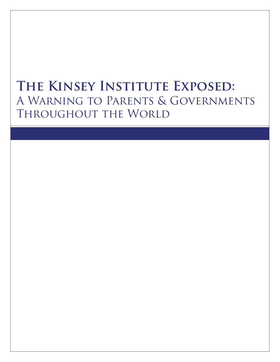# **The Kinsey Institute Exposed:** A Warning to Parents & Governments THROUGHOUT THE WORLD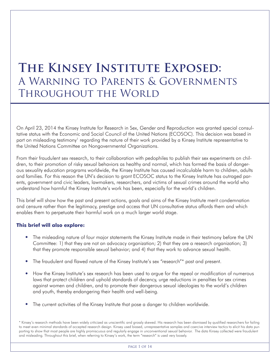# **The Kinsey Institute Exposed:** A Warning to Parents & Governments Throughout the World

On April 23, 2014 the Kinsey Institute for Research in Sex, Gender and Reproduction was granted special consultative status with the Economic and Social Council of the United Nations (ECOSOC). This decision was based in part on misleading testimony<sup>1</sup> regarding the nature of their work provided by a Kinsey Institute representative to the United Nations Committee on Nongovernmental Organizations.

From their fraudulent sex research, to their collaboration with pedophiles to publish their sex experiments on children, to their promotion of risky sexual behaviors as healthy and normal, which has formed the basis of dangerous sexuality education programs worldwide, the Kinsey Institute has caused incalculable harm to children, adults and families. For this reason the UN's decision to grant ECOSOC status to the Kinsey Institute has outraged parents, government and civic leaders, lawmakers, researchers, and victims of sexual crimes around the world who understand how harmful the Kinsey Institute's work has been, especially for the world's children.

This brief will show how the past and present actions, goals and aims of the Kinsey Institute merit condemnation and censure rather than the legitimacy, prestige and access that UN consultative status affords them and which enables them to perpetuate their harmful work on a much larger world stage.

### **This brief will also explore:**

- The misleading nature of four major statements the Kinsey Institute made in their testimony before the UN Committee: 1) that they are not an advocacy organization; 2) that they are a research organization; 3) that they promote responsible sexual behavior; and 4) that they work to advance sexual health.
- The fraudulent and flawed nature of the Kinsey Institute's sex "research"\* past and present.
- How the Kinsey Institute's sex research has been used to argue for the repeal or modification of numerous laws that protect children and uphold standards of decency, urge reductions in penalties for sex crimes against women and children, and to promote their dangerous sexual ideologies to the world's children and youth, thereby endangering their health and well-being.
- The current activities of the Kinsey Institute that pose a danger to children worldwide.

\* Kinsey's research methods have been widely criticized as unscientific and grossly skewed. His research has been dismissed by qualified researchers for failing to meet even minimal standards of accepted research design. Kinsey used biased, unrepresentative samples and coercive interview tactics to elicit his data purporting to show that most people are highly promiscuous and regularly engage in unconventional sexual behavior. The data Kinsey collected were fraudulent and misleading. Throughout this brief, when referring to Kinsey's work, the term "research" is used very loosely.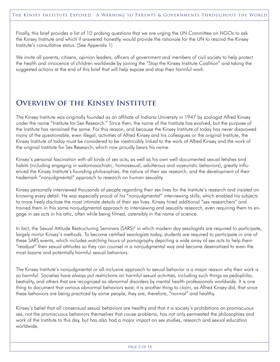Finally, this brief provides a list of 10 probing questions that we are urging the UN Committee on NGOs to ask the Kinsey Institute and which if answered honestly, would provide the rationale for the UN to rescind the Kinsey Institute's consultative status. (See Appendix 1)

We invite all parents, citizens, opinion leaders, officers of government and members of civil society to help protect the health and innocence of children worldwide by joining the "Stop the Kinsey Institute Coalition" and taking the suggested actions at the end of this brief that will help expose and stop their harmful work.

### **Overview of the Kinsey Institute**

The Kinsey Institute was originally founded as an affiliate of Indiana University in 1947 by zoologist Alfred Kinsey under the name "Institute for Sex Research." Since then, the name of the Institute has evolved, but the purpose of the Institute has remained the same. For this reason, and because the Kinsey Institute of today has never disavowed many of the questionable, even illegal, activities of Alfred Kinsey and his colleagues or the original Institute, the Kinsey Institute of today must be considered to be inextricably linked to the work of Alfred Kinsey and the work of the original Institute for Sex Research, which now proudly bears his name.

Kinsey's personal fascination with all kinds of sex acts, as well as his own well-documented sexual fetishes and habits (including engaging in sadomasochistic, homosexual, adulterous and voyeuristic behaviors), greatly influenced the Kinsey Institute's founding philosophies, the nature of their sex research, and the development of their trademark "nonjudgmental" approach to research on human sexuality.

Kinsey personally interviewed thousands of people regarding their sex lives for the Institute's research and insisted on knowing every detail. He was especially proud of his "nonjudgmental" interviewing skills, which enabled his subjects to more freely disclose the most intimate details of their sex lives. Kinsey hired additional "sex researchers" and trained them in this same nonjudgmental approach to interviewing and sexuality research, even requiring them to engage in sex acts in his attic, often while being filmed, ostensibly in the name of science.

In fact, the Sexual Attitude Restructuring Seminars (SARS)<sup>2</sup> in which modern day sexologists are required to participate, largely mirror Kinsey's methods. To become certified sexologists today, students are required to participate in one of these SARS events, which includes watching hours of pornography depicting a wide array of sex acts to help them "readjust" their sexual attitudes so they can counsel in a nonjudgmental way and become desensitized to even the most bizarre and potentially harmful sexual behaviors.

The Kinsey Institute's nonjudgmental or all-inclusive approach to sexual behavior is a major reason why their work is so harmful. Societies have always put restrictions on harmful sexual activities, including such things as pedophilia, bestiality, and others that are recognized as abnormal disorders by mental health professionals worldwide. It is one thing to document that various abnormal behaviors exist; it is another thing to claim, as Alfred Kinsey did, that since these behaviors are being practiced by some people, they are, therefore, "normal" and healthy.

Kinsey's belief that all consensual sexual behaviors are healthy and that it is society's prohibitions on promiscuous sex, not the promiscuous behaviors themselves that cause problems, has not only permeated the philosophies and work of the Institute to this day, but has also had a major impact on sex studies, research and sexual education worldwide.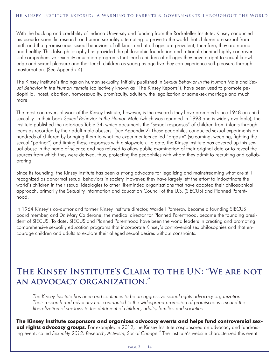With the backing and credibility of Indiana University and funding from the Rockefeller Institute, Kinsey conducted his pseudo-scientific research on human sexuality attempting to prove to the world that children are sexual from birth and that promiscuous sexual behaviors of all kinds and at all ages are prevalent; therefore, they are normal and healthy. This false philosophy has provided the philosophic foundation and rationale behind highly controversial comprehensive sexuality education programs that teach children of all ages they have a right to sexual knowledge and sexual pleasure and that teach children as young as age five they can experience self-pleasure through masturbation. (See Appendix 4)

The Kinsey Institute's findings on human sexuality, initially published in *Sexual Behavior in the Human Male* and *Sexual Behavior in the Human Female* (collectively known as "The Kinsey Reports"), have been used to promote pedophilia, incest, abortion, homosexuality, promiscuity, adultery, the legalization of same-sex marriage and much more.

The most controversial work of the Kinsey Institute, however, is the research they have promoted since 1948 on child sexuality. In their book *Sexual Behavior in the Human Male* (which was reprinted in 1998 and is widely available), the Institute published the notorious Table 34, which documents the "sexual responses" of children from infants through teens as recorded by their adult male abusers. (See Appendix 2) These pedophiles conducted sexual experiments on hundreds of children by bringing them to what the experimenters called "orgasm" (screaming, weeping, fighting the sexual "partner") and timing these responses with a stopwatch. To date, the Kinsey Institute has covered up this sexual abuse in the name of science and has refused to allow public examination of their original data or to reveal the sources from which they were derived, thus, protecting the pedophiles with whom they admit to recruiting and collaborating.

Since its founding, the Kinsey Institute has been a strong advocate for legalizing and mainstreaming what are still recognized as abnormal sexual behaviors in society. However, they have largely left the effort to indoctrinate the world's children in their sexual ideologies to other likeminded organizations that have adopted their philosophical approach, primarily the Sexuality Information and Education Council of the U.S. (SIECUS) and Planned Parenthood.

In 1964 Kinsey's co-author and former Kinsey Institute director, Wardell Pomeroy, became a founding SIECUS board member, and Dr. Mary Calderone, the medical director for Planned Parenthood, became the founding president of SIECUS. To date, SIECUS and Planned Parenthood have been the world leaders in creating and promoting comprehensive sexuality education programs that incorporate Kinsey's controversial sex philosophies and that encourage children and adults to explore their alleged sexual desires without constraints.

### **The Kinsey Institute's Claim to the UN: "We are not an advocacy organization."**

*The Kinsey Institute has been and continues to be an aggressive sexual rights advocacy organization. Their research and advocacy has contributed to the widespread promotion of promiscuous sex and the liberalization of sex laws to the detriment of children, adults, families and societies*.

**The Kinsey Institute cosponsors and organizes advocacy events and helps fund controversial sexual rights advocacy groups.** For example, in 2012, the Kinsey Institute cosponsored an advocacy and fundraising event, called *Sexuality 2012: Research, Activism, Social Change.* 3 The Institute's website characterized this event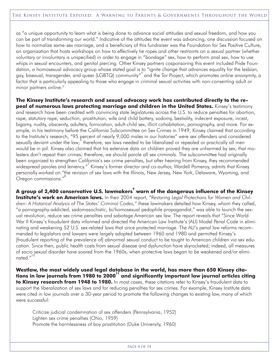as "a unique opportunity to learn what is being done to advance social attitudes and sexual freedom, and how you can be part of transforming our world." Indicative of the attitudes the event was advancing, one discussion focused on how to normalize same-sex marriage, and a beneficiary of this fundraiser was the Foundation for Sex Positive Culture, an organization that hosts workshops on how to effectively tie ropes and other restraints on a sexual partner (whether voluntary or involuntary is unspecified) in order to engage in "bondage" sex, how to perform anal sex, how to use whips in sexual encounters, and genital piercing. Other Kinsey partners cosponsoring this event included Pride Foundation, a homosexual advocacy group whose stated goal is to "ignite change that advances equality for the lesbian, gay, bisexual, transgender, and queer (LGBTQ) community" 4 and the Tor Project, which promotes online anonymity, a factor that is particularly appealing to those who engage in criminal sexual activities with non-consenting adult or minor partners online. 5

**The Kinsey Institute's research and sexual advocacy work has contributed directly to the repeal of numerous laws protecting marriage and children in the United States.** Kinsey's testimony and research have been credited with convincing state legislatures across the U.S. to reduce penalties for abortion, rape, statutory rape, seduction, prostitution, wife and child battery, sodomy, bestiality, indecent exposure, incest, bigamy, nudity, obscenity, adultery, fornication, adult-child sex, illicit cohabitation, pornography, and more. For example, in his testimony before the California Subcommittee on Sex Crimes in 1949, Kinsey claimed that according to the Institute's research, "95 percent of nearly 9,000 males in our histories" were sex offenders and considered sexually deviant under the law; <sup>8</sup> therefore, sex laws needed to be liberalized or repealed or practically all men would be in jail. Kinsey also claimed that his extensive data on children proved they are unharmed by sex; that molesters don't repeat their crimes; therefore, we should parole all sex criminals. The subcommittee had originally been organized to strengthen California's sex crime penalties, but after hearing from Kinsey, they recommended widespread paroles and leniency."<sup>7</sup> Kinsey's former director and co-author, Wardell Pomeroy, admits that Kinsey personally worked on "the revision of sex laws with the Illinois, New Jersey, New York, Delaware, Wyoming, and Oregon commissions." 8

**A group of 2,400 conservative U.S. lawmakers 9 warn of the dangerous influence of the Kinsey Institute's work on American laws.** In their 2004 report, *"Restoring Legal Protections for Women and Children: A Historical Analysis of The States' Criminal Codes,"* these lawmakers detailed how Kinsey, whom they called, "a pornography-addicted, sadomasochistic, bi/homosexual pedophile propagandist," was able to launch the sexual revolution, reduce sex crime penalties and sabotage American sex law. The report reveals that "Since World War II Kinsey's fraudulent data informed and directed the American Law Institute's (ALI) Model Penal Code in eliminating and weakening 52 U.S. sex-related laws that once protected marriage. The ALI's penal law reforms recommended to legislators and lawyers were largely adopted between 1960 and 1980 and permitted Kinsey's [fraudulent reporting of the prevalence of] abnormal sexual conduct to be taught to American children via sex education. Since then, public health costs from sexual disease and dysfunction have skyrocketed; indeed, all measures of socio sexual disorder have soared from the 1960s, when protective laws began to be weakened and/or eliminated."<sup>10</sup>

**Westlaw, the most widely used legal database in the world, has more than 650 Kinsey citations in law journals from 1980 to 2000 11 and significantly important law journal articles citing to Kinsey research from 1948 to 1980.** In most cases, these citations refer to Kinsey's fraudulent data to support the liberalization of sex laws and for reducing penalties for sex crimes. For example, Kinsey Institute data were cited in law journals over a 30-year period to promote the following changes to existing law, many of which were successful:

Criticize judicial condemnation of sex offenders (Pennsylvania, 1952) Lighten sex crime penalties (Ohio, 1959) Promote the harmlessness of boy prostitution (Duke University, 1960)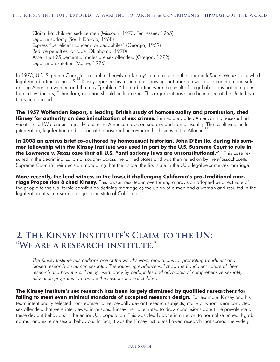Claim that children seduce men (Missouri, 1973, Tennessee, 1965) Legalize sodomy (South Dakota, 1968) Express "beneficent concern for pedophiles" (Georgia, 1969) Reduce penalties for rape (Oklahoma, 1970) Assert that 95 percent of males are sex offenders (Oregon, 1972) Legalize prostitution (Maine, 1976)

In 1973, U.S. Supreme Court Justices relied heavily on Kinsey's data to rule in the landmark *Roe v. Wade* case, which legalized abortion in the U.S.<sup>12</sup> Kinsey reported his research as showing that abortion was quite common and safe among American women and that any "problems" from abortion were the result of illegal abortions not being performed by doctors;<sup>13</sup> therefore, abortion should be legalized. This argument has since been used at the United Nations and abroad.

**The 1957 Wolfenden Report, a leading British study of homosexuality and prostitution, cited Kinsey for authority on decriminalization of sex crimes.** Immediately after, American homosexual advocates cited Wolfenden to justify loosening American laws on sodomy and homosexuality. The result was the legitimization, legalization and spread of homosexual behavior on both sides of the Atlantic.<sup>14</sup>

**In 2003 an** *amicus* **brief co-authored by homosexual historian, John D'Emilio, during his summer fellowship with the Kinsey Institute was used in part by the U.S. Supreme Court to rule in the** *Lawrence v. Texas* **case that all U.S. "anti sodomy laws are unconstitutional."** 15 This case resulted in the decriminalization of sodomy across the United States and was then relied on by the Massachusetts Supreme Court in their decision mandating that their state, the first state in the U.S., legalize same-sex marriage.

**More recently, the lead witness in the lawsuit challenging California's pro-traditional marriage Proposition 8 cited Kinsey.** This lawsuit resulted in overturning a provision adopted by direct vote of the people to the California constitution defining marriage qs the union of a man and a woman and resulted in the<br>' legalization of same-sex marriage in the state of California.

### **2. The Kinsey Institute's Claim to the UN: "We are a research institute."**

*The Kinsey Institute has perhaps one of the world's worst reputations for promoting fraudulent and biased research on human sexuality. The following evidence will show the fraudulent nature of their research and how it is still being used today by pedophiles and advocates of comprehensive sexuality education programs to promote the sexualization of children.*

**The Kinsey Institute's sex research has been largely dismissed by qualified researchers for failing to meet even minimal standards of accepted research design.** For example, Kinsey and his team intentionally selected non-representative, sexually deviant research subjects, many of whom were convicted sex offenders that were interviewed in prisons. Kinsey then attempted to draw conclusions about the prevalence of these deviant behaviors in the entire U.S. population. This was clearly done in an effort to normalize unhealthy, abnormal and extreme sexual behaviors. In fact, it was the Kinsey Institute's flawed research that spread the widely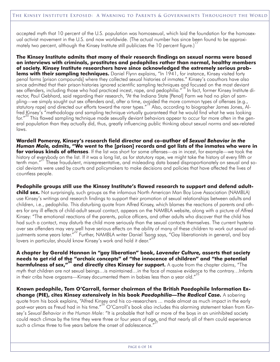accepted myth that 10 percent of the U.S. population was homosexual, which laid the foundation for the homosexual activist movement in the U.S. and now worldwide. (The actual number has since been found to be approximately two percent, although the Kinsey Institute still publicizes the 10 percent figure.)

**The Kinsey Institute admits that many of their research findings on sexual norms were based on interviews with criminals, prostitutes and pedophiles rather than normal, healthy members of society. Kinsey Institute researchers have since acknowledged the extremely serious problems with their sampling techniques.** Daniel Flynn explains, "In 1941, for instance, Kinsey visited forty penal farms [prison compounds] where they collected sexual histories of inmates." Kinsey's coauthors have also since admitted that their prison histories ignored scientific sampling techniques and focused on the most deviant sex offenders, including those who had practiced incest, rape, and pedophilia." 18 In fact, former Kinsey Institute director, Paul Gebhard, said regarding their research, "At the Indiana State [Penal] Farm we had no plan of sampling—we simply sought out sex offenders and, after a time, avoided the more common types of offenses (e.g., statutory rape) and directed our efforts toward the rarer types." 19 Also, according to biographer James Jones, Alfred Kinsey's "methodology and sampling technique virtually guaranteed that he would find what he was looking for." 20 This flawed sampling technique made sexually deviant behaviors appear to occur far more often in the general population than they actually did, thus, greatly influencing public thinking about sexual norms and sex-related laws.

**Wardell Pomeroy, Kinsey's research field director and co-author of** *Sexual Behavior in the Human Male,* **admits, "We went to the [prison] records and got lists of the inmates who were in for various kinds of offenses**. If the list was short for some offenses—as in incest, for example—we took the history of everybody on the list. If it was a long list, as for statutory rape, we might take the history of every fifth or tenth man." 21 These fraudulent, misrepresentative, and misleading data based disproportionately on sexual and social deviants were used by courts and policymakers to make decisions and policies that have affected the lives of countless people.

**Pedophile groups still use the Kinsey Institute's flawed research to support and defend adultchild sex.** Not surprisingly, such groups as the infamous North American Man Boy Love Association (NAMBLA) use Kinsey's writings and research findings to support their promotion of sexual relationships between adults and children, i.e., pedophilia. This disturbing quote from Alfred Kinsey, which blames the reactions of parents and others for any ill effects of child-adult sexual contact, appears on the NAMBLA website, along with a picture of Alfred Kinsey: "The emotional reactions of the parents, police officers, and other adults who discover that the child has had such a contact, may disturb the child more seriously than the sexual contacts themselves. The current hysteria over sex offenders may very well have serious effects on the ability of many of these children to work out sexual adjustments some years later.<sup>"22</sup> Further, NAMBLA writer Daniel Tsang says, "Gay liberationists in general, and boy .<br>lovers in particular, should know Kinsey's work and hold it dear."<sup>23</sup>

**A chapter by Gerald Hannon in "gay liberation" book,** *Lavender Culture,* **asserts that society needs to get rid of the "archaic concepts" of "the innocence of children" and "the potential harmfulness of sex," 24 and directly cites Kinsey for support.** A quote from the chapter claims, "The myth that children are not sexual beings…is maintained…in the face of massive evidence to the contrary…Infants in their cribs have orgasms—Kinsey documented them in babies less than a year old." $^{25}$ 

**Known pedophile, Tom O'Carroll, former chairman of the British Paedophile Information Exchange (PIE), cites Kinsey extensively in his book** *Paedophilia—The Radical Case.* A sobering quote from his book explains, "Alfred Kinsey and his co-researchers ... made almost as much impact in the early post-war years as Freud had in his time."<sup>26</sup> O'Carroll's book also includes this alarming statement taken from Kinsey's *Sexual Behavior in the Human Male*: "It is probable that half or more of the boys in an uninhibited society could reach climax by the time they were three or four years of age, and that nearly all of them could experience 27 such a climax three to five years before the onset of adolescence."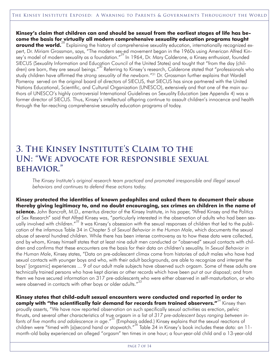**Kinsey's claim that children can and should be sexual from the earliest stages of life has become the basis for virtually all modern comprehensive sexuality education programs taught around the world.**<sup>28</sup> Explaining the history of comprehensive sexuality education, internationally recognized expert, Dr. Miriam Grossman, says, "The modern sex-ed movement began in the 1960s using American Alfred Kinsey's model of modern sexuality as a foundation." 29 In 1964, Dr. Mary Calderone, a Kinsey enthusiast, founded SIECUS (Sexuality Information and Education Council of the United States) and taught that "from the day (children) are born, they are sexual beings."<sup>30</sup> Referring to Kinsey's research, Calderone stated that "professionals who study children have affirmed the *strong sexuality of the newborn."*<sup>31</sup> Dr. Grossman further explains that Wardell Pomeroy served on the original board of directors of SIECUS, that SIECUS has since partnered with the United Nations Educational, Scientific, and Cultural Organization (UNESCO), extensively and that one of the main authors of UNESCO's highly controversial International Guidelines on Sexuality Education (see Appendix 4) was a former director of SIECUS. Thus, Kinsey's intellectual offspring continue to assault children's innocence and health through the far-reaching comprehensive sexuality education programs of today.

### **3. The Kinsey Institute's Claim to the UN: "We advocate for responsible sexual behavior."**

*The Kinsey Institute's original research team practiced and promoted irresponsible and illegal sexual behaviors and continues to defend these actions today.*

**Kinsey protected the identities of known pedophiles and asked them to document their abuse thereby giving legitimacy to, and no doubt encouraging, sex crimes on children in the name of science.** John Bancroft, M.D., emeritus director of the Kinsey Institute, in his paper, "Alfred Kinsey and the Politics of Sex Research" said that Alfred Kinsey was, "particularly interested in the observation of adults who had been sexually involved with children."<sup>32</sup> It was Kinsey's obsession with the sexual responses of children that led to the publication of the infamous Table 34 in Chapter 5 of *Sexual Behavior in the Human Male*, which documents the sexual abuse of several hundred children. While there has been intense controversy as to how these data were collected, and by whom, Kinsey himself states that at least nine adult men conducted or "observed" sexual contacts with children and confirms that these encounters are the basis for their data on children's sexuality. In *Sexual Behavior in the Human Male*, Kinsey states, "Data on pre-adolescent climax come from histories of adult males who have had sexual contacts with younger boys and who, with their adult backgrounds, are able to recognize and interpret the boys' [orgasmic] experiences ... 9 of our adult male subjects have observed such orgasm. Some of these adults are technically trained persons who have kept diaries or other records which have been put at our disposal; and from them we have secured information on 317 pre-adolescents who were either observed in self-masturbation, or who were observed in contacts with other boys or older adults." $^{33}$ 

**Kinsey states that child-adult sexual encounters were conducted and reported in order to comply with "the scientifically fair demand for records from trained observers."** 34 Kinsey then proudly asserts, "We have now reported observation on such specifically sexual activities as erection, pelvic thrusts, and several other characteristics of true orgasm in a list of *317 pre-adolescent boys ranging between infants of five months and adolescence in age*." 35 (Emphasis added.) Kinsey explains that the sexual reactions of children were "timed with [a]second hand or stopwatch." 36 Table 34 in Kinsey's book includes these data: an 11 month-old baby experienced an alleged "orgasm" ten times in one hour; a four-year-old child and a 13-year-old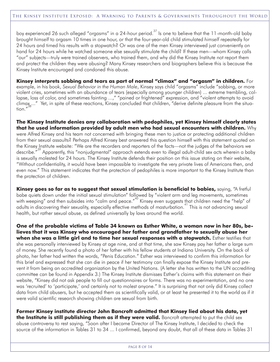boy experienced 26 such alleged "orgasms" in a 24-hour period.<sup>37</sup> Is one to believe that the 11-month-old baby brought *himself* to orgasm 10 times in one hour, or that the four-year-old child stimulated *himself* repeatedly for 24 hours and timed his results with a stopwatch? Or was one of the men Kinsey interviewed just conveniently on hand for 24 hours while he watched someone else sexually stimulate the child? If these men—whom Kinsey calls "our" subjects—truly were trained observers, who trained them, and why did the Kinsey Institute not report them and protect the children they were abusing? Many Kinsey researchers and biographers believe this is because the Kinsey Institute encouraged and condoned this abuse.

**Kinsey interprets sobbing and tears as part of normal "climax" and "orgasm" in children.** For example, in his book, *Sexual Behavior in the Human Male*, Kinsey says child "orgasms" include "sobbing, or more violent cries, sometimes with an abundance of tears (especially among younger children) ... extreme trembling, collapse, loss of color, and sometimes fainting ...," "pained or frightened" expression, and "violent attempts to avoid climax<sub>a</sub>..." Yet, in spite of these reactions, Kinsey concluded that children, "derive definite pleasure from the situa- $\frac{1}{100}$ ,  $\frac{1}{100}$ 

**The Kinsey Institute denies any collaboration with pedophiles, yet Kinsey himself clearly states that he used information provided by adult men who had sexual encounters with children.** Why were Alfred Kinsey and his team not concerned with bringing these men to justice or protecting additional children from their sexual assaults? Perhaps Alfred Kinsey best answered this question himself with this statement quoted on the Kinsey Institute website: "We are the recorders and reporters of the facts—not the judges of the behaviors we describe."<sup>39</sup> Apparently, this "nonjudgmental" approach extends even to illegal adult-child sex acts wherein a baby is sexually molested for 24 hours. The Kinsey Institute defends their position on this issue stating on their website, "Without confidentiality, it would have been impossible to investigate the very private lives of Americans then, and even now." This statement indicates that the protection of pedophiles is more important to the Kinsey Institute than the protection of children.

**Kinsey goes so far as to suggest that sexual stimulation is beneficial to babies,** saying, "A fretful babe quiets down under the initial sexual stimulation" followed by "violent arm and leg movements, sometimes with weeping" and then subsides into "calm and peace."<sup>40</sup> Kinsey even suggests that children need the "help" of adults in discovering their sexuality, especially effective methods of masturbation.<sup>41</sup> This is not advancing sexual health, but rather sexual abuse, as defined universally by laws around the world.

**One of the probable victims of Table 34 known as Esther White, a woman now in her 80s, believes that it was Kinsey who encouraged her father and grandfather to sexually abuse her when she was a little girl and to time her sexual responses with a stopwatch.** Esther testifies that she was personally interviewed by Kinsey at age nine, and at that time, she saw Kinsey pay her father a large sum of money. She recently found a photo of her father with his fellow students at Indiana University. On the back of photo, her father had written the words, "Penis Education." Esther was interviewed to confirm this information for this brief and expressed that she can die in peace if her testimony can finally expose the Kinsey Institute and prevent it from being an accredited organization by the United Nations. (A letter she has written to the UN accrediting committee can be found in Appendix 3.) The Kinsey Institute dismisses Esther's claims with this statement on their website, "Kinsey did not ask people to fill out questionnaires or forms. There was no experimentation, and no one was 'recruited' to 'participate,' and certainly not to molest anyone." It is surprising that not only did Kinsey collect data from child abusers, but he accepted them as scientifically valid, or at least he presented it to the world as if it were valid scientific research showing children are sexual from birth.

**Former Kinsey institute director John Bancroft admitted that Kinsey lied about his data, yet the Institute is still publishing them as if they were valid.** Bancroft attempted to put the child sex abuse controversy to rest saying, "Soon after I became Director of The Kinsey Institute, I decided to check the source of the information in Tables 31 to 34 ... I confirmed, beyond any doubt, that all of these data in Tables 31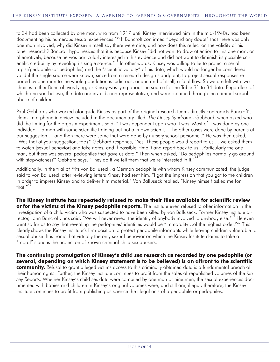to 34 had been collected by one man, who from 1917 until Kinsey interviewed him in the mid-1940s, had been documenting his numerous sexual experiences."42 If Bancroft confirmed "beyond any doubt" that there was only one man involved, why did Kinsey himself say there were nine, and how does this reflect on the validity of his other research? Bancroft hypothesizes that it is because Kinsey "did not want to draw attention to this one man, or alternatively, because he was particularly interested in this evidence and did not want to diminish its possible scientific credibility by revealing its single source."<sup>43</sup> In other words, Kinsey was willing to lie to protect a serial rapist/pedophile (or pedophiles) and the "scientific validity" of his data, which would no longer be considered valid if the single source were known, since from a research design standpoint, to project sexual responses reported by one man to the whole population is ludicrous, and in and of itself, a fatal flaw. So we are left with two choices: either Bancroft was lying, or Kinsey was lying about the source for the Table 31 to 34 data. Regardless of which one you believe, the data are invalid, non-representative, and were obtained through the criminal sexual abuse of children.

Paul Gebhard, who worked alongside Kinsey as part of the original research team, directly contradicts Bancroft's claim. In a phone interview included in the documentary titled, *The Kinsey Syndrome*, Gebhard, when asked who did the timing for the orgasm experiments said, "It was dependent upon who it was. Most of it was done by one individual—a man with some scientific training but not a known scientist. The other cases were done by parents at our suggestion ... and then there were some that were done by nursery school personnel." He was then asked, "Was that at your suggestion, too?" Gebhard responds, "Yes. These people would report to us ... we asked them to watch [sexual behavior] and take notes, and if possible, time it and report back to us…Particularly the one man, but there was several pedophiles that gave us data." Then when asked, "Do pedophiles normally go around with stopwatches?" Gebhard says, "They do if we tell them that we're interested in it."<sup>44</sup>

Additionally, in the trial of Fritz von Balluseck, a German pedophile with whom Kinsey communicated, the judge said to von Balluseck after reviewing letters Kinsey had sent him, "I got the impression that you got to the children in order to impress Kinsey and to deliver him material." Von Balluseck replied, "Kinsey himself asked me for that." 45

**The Kinsey Institute has repeatedly refused to make their files available for scientific review or for the victims of the Kinsey pedophile reports.** The Institute even refused to offer information in the investigation of a child victim who was suspected to have been killed by von Balluseck. Former Kinsey Institute director, John Bancroft, has said, "We will never reveal the identity of anybody involved to anybody else."<sup>46</sup> He even went so far as to say that revealing the pedophiles' identities would be "immorality...of the highest order."<sup>47</sup> This clearly shows the Kinsey Institute's firm position to protect pedophile informants while leaving children vulnerable to sexual abuse. It is ironic that virtually the only sexual behavior on which the Kinsey Institute claims to take a "moral" stand is the protection of known criminal child sex abusers.

**The continuing promulgation of Kinsey's child sex research as recorded by one pedophile (or several, depending on which Kinsey statement is to be believed) is an affront to the scientific community.** Refusal to grant alleged victims access to this criminally obtained data is a fundamental breach of their human rights. Further, the Kinsey Institute continues to profit from the sales of republished volumes of the *Kinsey Reports*. Whether Kinsey's child sex data were compiled by one man or nine men, the sexual experiences documented with babies and children in Kinsey's original volumes were, and still are, illegal; therefore, the Kinsey Institute continues to profit from publishing as science the illegal acts of a pedophile or pedophiles.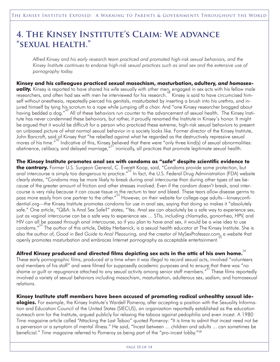### **4. The Kinsey Institute's Claim: We advance "sexual health."**

*Alfred Kinsey and his early research team practiced and promoted high-risk sexual behaviors, and the* Kinsey Institute continues to endorse high-risk sexual practices such as anal sex and the extensive use of *pornography today.*

**Kinsey and his colleagues practiced sexual masochism, masturbation, adultery,** *and homosexuality.* Kinsey is reported to have shared his wife sexually with other men, engaged in sex acts with his fellow male researchers, and often had sex with men he interviewed for his research.<sup>48</sup> Kinsey is said to have circumcised himself without anesthesia, repeatedly pierced his genitals, masturbated by inserting a brush into his urethra, and injured himself by tying his scrotum to a rope while jumping off a chair. And "one Kinsey researcher bragged about having bedded a dog."<sup>49</sup> All of these behaviors run counter to the advancement of sexual health. The Kinsey Institute has never condemned these behaviors, but rather, it proudly renamed the Institute in Kinsey's honor. It might be argued that it would be difficult for a person who practiced these extreme, high-risk sexual behaviors to present an unbiased picture of what normal sexual behavior in a society looks like. Former director of the Kinsey Institute, John Bancroft, said of Kinsey that "he rebelled against what he regarded as the destructively repressive sexual mores of his time."<sup>50</sup> Indicative of this, Kinsey believed that there were "only three kind(s) of sexual abnormalities: abstinence, celibacy, and delayed marriage,"<sup>51</sup> ironically, all practices that promote legitimate sexual health.

**The Kinsey Institute promotes anal sex with condoms as "safe" despite scientific evidence to** the contrary. Former U.S. Surgeon General, C. Everett Koop, said, "Condoms provide some protection, but anal intercourse is simply too dangerous to practice."<sup>52</sup> In fact, the U.S. Federal Drug Administration (FDA) website clearly states, "Condoms may be more likely to break during anal intercourse than during other types of sex because of the greater amount of friction and other stresses involved. Even if the condom doesn't break, anal intercourse is very risky because it can cause tissue in the rectum to tear and bleed. These tears allow disease germs to pass more easily from one partner to the other."<sup>53</sup> However, on their website for college-age adults—kinseyconfidential.org—the Kinsey Institute promotes condoms for use in anal sex, saying that doing so makes it "absolutely safe." One article, "Q&A: Is Anal Sex Safe?" states, "Yes. Anal sex can absolutely be a safe way to experience sex, just as vaginal intercourse can be a safe way to experience sex ... STIs, including chlamydia, gonorrhea, HPV, and HIV can all be passed through anal intercourse, so if you plan to have anal sex, it would be a wise idea to use condoms." 54 The author of this article, Debby Herbenick, is a sexual health educator at The Kinsey Institute. She is also the author of, *Good in Bed Guide to Anal Pleasuring,* and the creator of MySexProfessor.com, a website that 55 openly promotes masturbation and embraces Internet pornography as acceptable entertainment.

### **Alfred Kinsey produced and directed films depicting sex acts in the attic of his own home.** 56

These early pornographic films, produced at a time when it was illegal to record sexual acts, involved "volunteers and members of his staff" and were filmed for supposedly academic purposes and to ensure that there was "no shame or guilt or repugnance attached to any sexual activity among senior staff members."<sup>57</sup> These films reportedly involved a variety of sexual behaviors including masochism, masturbation, adulterous sex, sadism, and homosexual relations.

**Kinsey Institute staff members have been accused of promoting radical unhealthy sexual ide-**

**ologies.** For example, the Kinsey Institute's Wardell Pomeroy, after accepting a position with the Sexuality Information and Education Council of the United States (SIECUS), an organization reportedly established as the education outreach arm for the Institute, argued publicly for relaxing the taboos against pedophilia and even incest. A 1980 *Time* magazine article called "Attacking the Last Taboo" quoted Pomeroy: "It is time to admit that incest need not be a perversion or a symptom of mental illness." He said, "Incest between ... children and adults ... can sometimes be beneficial." *Time* magazine referred to Pomeroy as being part of the "pro-incest lobby."58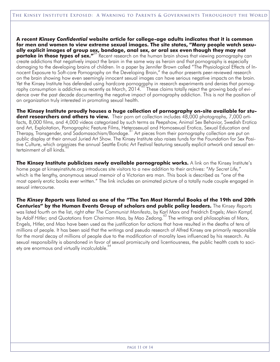**A recent** *Kinsey Confidential* **website article for college-age adults indicates that it is common for men and women to view extreme sexual images. The site states, "Many people watch sexually explicit images of group sex, bondage, anal sex, or oral sex even though they may not partake in those types of sex."** 59 Recent research on the human brain shows that viewing pornography can create addictions that negatively impact the brain in the same way as heroin and that pornography is especially damaging to the developing brains of children. In a paper by Jennifer Brown called "The Physiological Effects of Innocent Exposure to Soft-core Pornography on the Developing Brain," the author presents peer-reviewed research on the brain showing how even seemingly innocent sexual images can have serious negative impacts on the brain. Yet the Kinsey Institute has defended using hardcore pornography in research experiments and denies that pornography consumption is addictive as recently as March, 2014. These claims totally reject the growing body of evidence over the past decade documenting the negative impact of pornography addiction. This is not the position of an organization truly interested in promoting sexual health.

**The Kinsey Institute proudly houses a huge collection of pornography on-site available for student researchers and others to view.** Their porn art collection includes 48,000 photographs, 7,000 artifacts, 8,000 films, and 4,000 videos categorized by such terms as Peepshow, Animal Sex Behavior, Swedish Erotica and Art, Exploitation, Pornographic Feature Films, Heterosexual and Homosexual Erotica, Sexual Education and Therapy, Transgender, and Sadomasochism/Bondage. 61 Art pieces from their pornography collection are put on public display at their annual Juried Art Show. The Kinsey Institute also raises funds for the Foundation for Sex Positive Culture, which organizes the annual Seattle Erotic Art Festival featuring sexually explicit artwork and sexual en-<br>. tertainment of all kinds.

**The Kinsey Institute publicizes newly available pornographic works.** A link on the Kinsey Institute's home page at kinseyinstitute.org introduces site visitors to a new addition to their archives: "*My Secret Life,"* which is the lengthy, anonymous sexual memoir of a Victorian era man. This book is described as *"*one of the most openly erotic books ever written." The link includes an animated picture of a totally nude couple engaged in sexual intercourse.

The Kinsey Reports was listed as one of the "The Ten Most Harmful Books of the 19th and 20th **Centuries" by the Human Events Group of scholars and public policy leaders.** The *Kinsey Reports* was listed fourth on the list, right after *The Communist Manifesto*, by Karl Marx and Freidrich Engels; *Mein Kampf,* by *Adolf Hitler;* and *Quotations from Chairman Mao,* by Mao Zedong. 63 The writings and philosophies of Marx, Engels, Hitler, and Mao have been used as the justification for actions that have resulted in the deaths of tens of millions of people. It has been said that the writings and pseudo research of Alfred Kinsey are primarily responsible for the moral decay of millions of people due to the modification of morality laws influenced by his research. As sexual responsibility is abandoned in favor of sexual promiscuity and licentiousness, the public health costs to society are enormous and virtually incalculable.<sup>64</sup>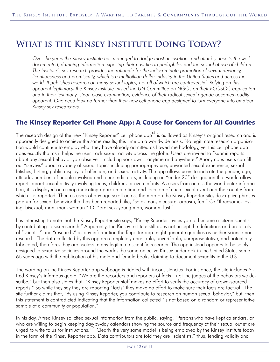### **What is the Kinsey Institute Doing Today?**

*Over the years the Kinsey Institute has managed to dodge most accusations and attacks, despite the welldocumented, damning information exposing their past ties to pedophiles and the sexual abuse of children. The Institute's sex research provides the rationale for the indiscriminate promotion of sexual deviancy, licentiousness and promiscuity, which is a multibillion dollar industry in the United States and across the world. It publishes research on many sexual topics, not all of which are controversial. Relying on this apparent legitimacy, the Kinsey Institute misled the UN Committee on NGOs on their ECOSOC application and in their testimony. Upon close examination, evidence of their radical sexual agenda becomes readily* apparent. One need look no further than their new cell phone app designed to turn everyone into amateur *Kinsey sex researchers.*

### **The Kinsey Reporter Cell Phone App: A Cause for Concern for All Countries**

The research design of the new "Kinsey Reporter" cell phone app<sup>65</sup> is as flawed as Kinsey's original research and is apparently designed to achieve the same results, this time on a worldwide basis. No legitimate research organization would continue to employ what they have already admitted as flawed methodology, yet this cell phone app does exactly that as it helps the user track sexual activity across the globe. Users are invited to "submit reports about any sexual behavior you observe—including your own—anytime and anywhere." Anonymous users can fill out "surveys" about a variety of sexual topics including pornography use, unwanted sexual experience, sexual fetishes, flirting, public displays of affection, and sexual activity. The app allows users to indicate the gender, age, attitude, numbers of people involved and other indicators, including an "under 20" designation that would allow reports about sexual activity involving teens, children, or even infants. As users from across the world enter information, it is displayed on a map indicating approximate time and location of each sexual event and the country from which it is reported. Then as users of any age scroll across the map on the Kinsey Reporter site, descriptive phrases pop up for sexual behavior that has been reported like, "solo, man, pleasure, orgasm, fun." Or "threesome, loving, bisexual, man, man, woman." Or "oral sex, young man, woman, lust."

It is interesting to note that the Kinsey Reporter site says, "Kinsey Reporter invites you to become a citizen scientist by contributing to sex research." Apparently, the Kinsey Institute still does not accept the definitions and protocols of "scientist" and "research," as any information the Reporter app might generate qualifies as neither science nor research. The data collected by this app are completely unreliable, unverifiable, unrepresentative, and potentially fabricated; therefore, they are useless in any legitimate scientific research. The app instead appears to be solely designed to sexualize societies around the world, the same objective Kinsey undertook in the United States some 65 years ago with the publication of his male and female books claiming to document sexuality in the U.S.

The wording on the Kinsey Reporter app webpage is riddled with inconsistencies. For instance, the site includes Alfred Kinsey's infamous quote, "We are the recorders and reporters of facts—not the judges of the behaviors we describe," but then also states that, "Kinsey Reporter staff makes no effort to verify the accuracy of crowd-sourced reports." So while they say they are reporting "facts" they make no effort to make sure their facts are factual. The site further claims that, "By using Kinsey Reporter, you contribute to research on human sexual behavior," but then this statement is contradicted indicating that the information collected "is not based on a random or representative sample of a community or population."

In his day, Alfred Kinsey solicited sexual information from the public, saying, "Persons who have kept calendars, or who are willing to begin keeping day-by-day calendars showing the source and frequency of their sexual outlet are urged to write to us for instructions."<sup>66</sup> Clearly the very same model is being employed by the Kinsey Institute today in the form of the Kinsey Reporter app. Data contributors are told they are "scientists," thus, lending validity and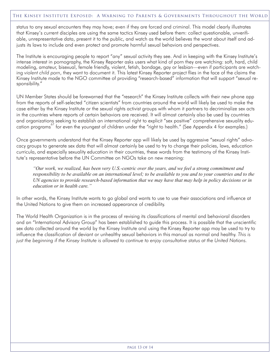status to any sexual encounters they may have; even if they are forced and criminal. This model clearly illustrates that Kinsey's current disciples are using the same tactics Kinsey used before them: collect questionable, unverifiable, unrepresentative data, present it to the public, and watch as the world believes the worst about itself and adjusts its laws to include and even protect and promote harmful sexual behaviors and perspectives.

The Institute is encouraging people to report "any" sexual activity they see. And in keeping with the Kinsey Institute's intense interest in pornography, the Kinsey Reporter asks users what kind of porn they are watching: soft, hard, child modeling, amateur, bisexual, female friendly, violent, fetish, bondage, gay or lesbian—even if participants are watching *violent child porn*, they want to document it. This latest Kinsey Reporter project flies in the face of the claims the Kinsey Institute made to the NGO committee of providing "research-based" information that will support "sexual responsibility."

UN Member States should be forewarned that the "research" the Kinsey Institute collects with their new phone app from the reports of self-selected "citizen scientists" from countries around the world will likely be used to make the case either by the Kinsey Institute or the sexual rights activist groups with whom it partners to decriminalize sex acts in the countries where reports of certain behaviors are received. It will almost certainly also be used by countries and organizations seeking to establish an international right to explicit "sex positive" comprehensive sexuality education programs 67 for even the youngest of children under the "right to health." (See Appendix 4 for examples.)

Once governments understand that the Kinsey Reporter app will likely be used by aggressive "sexual rights" advocacy groups to generate sex data that will almost certainly be used to try to change their policies, laws, education curricula, and especially sexuality education in their countries, these words from the testimony of the Kinsey Institute's representative before the UN Committee on NGOs take on new meaning:

"Our work, we realized, has been very U.S.-centric over the years, and we feel a strong commitment and responsibility to be available on an international level; to be available to you and to your countries and to the UN agencies to provide research-based information that we may have that may help in policy decisions or in *education or in health care."*

In other words, the Kinsey Institute wants to go global and wants to use to use their associations and influence at the United Nations to give them an increased appearance of credibility.

The World Health Organization is in the process of revising its classifications of mental and behavioral disorders and an "International Advisory Group" has been established to guide this process. It is possible that the unscientific sex data collected around the world by the Kinsey Institute and using the Kinsey Reporter app may be used to try to influence the classification of deviant or unhealthy sexual behaviors in this manual as normal and healthy. *This is* just the beginning if the Kinsey Institute is allowed to continue to enjoy consultative status at the United Nations.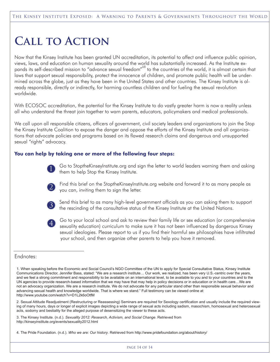# **Call to Action**

Now that the Kinsey Institute has been granted UN accreditation, its potential to affect and influence public opinion, views, laws, and education on human sexuality around the world has substantially increased. As the Institute expands its self-described mission to "advance sexual freedom"<sup>68</sup> to the countries of the world, it is almost certain that laws that support sexual responsibility, protect the innocence of children, and promote public health will be undermined across the globe, just as they have been in the United States and other countries. The Kinsey Institute is already responsible, directly or indirectly, for harming countless children and for fueling the sexual revolution worldwide.

With ECOSOC accreditation, the potential for the Kinsey Institute to do vastly greater harm is now a reality unless all who understand the threat join together to warn parents, educators, policymakers and medical professionals.

We call upon all responsible citizens, officers of government, civil society leaders and organizations to join the Stop the Kinsey Institute Coalition to expose the danger and oppose the efforts of the Kinsey Institute and all organizations that advocate policies and programs based on its flawed research claims and dangerous and unsupported sexual "rights" advocacy.

#### **You can help by taking one or more of the following four steps:**



Go to StoptheKinseyInstitute.org and sign the letter to world leaders warning them and asking them to help Stop the Kinsey Institute.



Find this brief on the StoptheKinseyInstitute.org website and forward it to as many people as you can, inviting them to sign the letter.



Send this brief to as many high-level government officials as you can asking them to support the rescinding of the consultative status of the Kinsey Institute at the United Nations.



Go to your local school and ask to review their family life or sex education (or comprehensive sexuality education) curriculum to make sure it has not been influenced by dangerous Kinsey sexual ideologies. Please report to us if you find their harmful sex philosophies have infiltrated your school, and then organize other parents to help you have it removed.

#### Endnotes:

2. Sexual Attitude Readjustment (Restructuring or Reassessing) Seminars are required for Sexology certification and usually include the required viewing of many hours, days or longer of explicit images depicting a wide range of sexual acts including sadism, masochism, homosexual and heterosexual acts, sodomy and bestiality for the alleged purpose of desensitizing the viewer to these acts.

3. The Kinsey Institute. (n.d.). *Sexuality 2012: Research, Activism, and Social Change*. Retrieved from http://kinseyinstitute.org/events/sexuality2012.html

4. The Pride Foundation. (n.d.). *Who we are: Our history*. Retrieved from http://www.pridefoundation.org/about/history/

<sup>1.</sup> When speaking before the Economic and Social Council's NGO Committee of the UN to apply for Special Consultative Status, Kinsey Institute Communications Director, Jennifer Bass, stated: "We are a research institute… Our work, we realized, has been very U.S.-centric over the years, and we feel a strong commitment and responsibility to be available on an international level, to be available to you and to your countries and to the UN agencies to provide research-based information that we may have that may help in policy decisions or in education or in health care…We are not an advocacy organization. We are a research institute. We do not advocate for any particular stand other than responsible sexual behavior and advancing sexual health and knowledge worldwide. That is where we stand." Full testimony can be viewed online at http://www.youtube.com/watch?v=D1L2k6oOtfM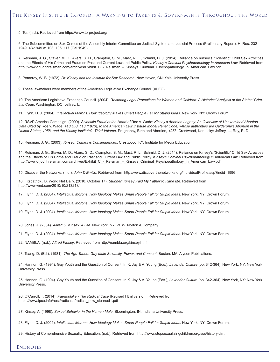5. Tor. (n.d.). Retrieved from https://www.torproject.org/

6. The Subcommittee on Sex Crimes of the Assembly Interim Committee on Judicial System and Judicial Process (Preliminary Report), H. Res. 232- 1949, 43-1949 At 103, 105, 117 (Cal.1949).

7. Reisman, J. G., Staver, M. D., Akers, S. D., Crampton, S. M., Mast, R. L., Schmid, D. J. (2014). Reliance on Kinsey's "Scientific" Child Sex Atrocities and the Effects of His Crime and Fraud on Past and Current Law and Public Policy. *Kinsey's Criminal Psychopathology in American Law.* Retrieved from http://www.drjudithreisman.com/archives/Exhibit\_C\_-\_Reisman\_-\_Kinseys\_Criminal\_Psychopathology\_in\_American\_Law.pdf

8. Pomeroy, W. B. (1972). *Dr. Kinsey and the Institute for Sex Research.* New Haven, CN: Yale University Press.

9. These lawmakers were members of the American Legislative Exchange Council (ALEC).

10. The American Legislative Exchange Council. (2004). Restoring Legal Protections for Women and Children: A Historical Analysis of the States' Crim*inal Code*. Washington, DC: Jeffrey, L.

11. Flynn, D. J. (2004). *Intellectual Morons: How Ideology Makes Smart People Fall for Stupid Ideas*. New York, NY: Crown Forum.

12. RSVP America Campaign. (2009). Scientific Fraud at the Heart of Roe v. Wade: Kinsey's Abortion Legacy: An Overview of Unexamined Abortion Data Cited by Roe v. Wade, 410 U.S. 113 (1973), to the American Law Institute Model Penal Code, whose authorities are Calderone's Abortion in the *United States, 1958, and the Kinsey Institute's Third Volume,* Pregnancy, Birth and Abortion*, 1958.* Crestwood, Kentucky: Jeffrey, L., Ray, R. D.

13. Reisman, J. G., (2003). *Kinsey: Crimes & Consequences*. Crestwood, KY: Institute for Media Education.

14. Reisman, J. G., Staver, M. D., Akers, S. D., Crampton, S. M., Mast, R. L., Schmid, D. J. (2014). Reliance on Kinsey's "Scientific" Child Sex Atrocities and the Effects of His Crime and Fraud on Past and Current Law and Public Policy. *Kinsey's Criminal Psychopathology in American Law.* Retrieved from http://www.drjudithreisman.com/archives/Exhibit C - Reisman - Kinseys Criminal Psychopathology in American Law.pdf

15. Discover the Networks. (n.d.). *John D'Emilio*. Retrieved from http://www.discoverthenetworks.org/individualProfile.asp?indid=1996

16. Fitzpatrick,. B. World Net Daily. (2010, October 17). *Stunner! Kinsey Paid My Father to Rape Me*. Retrieved from http://www.wnd.com/2010/10/213213/

17. Flynn, D. J. (2004). *Intellectual Morons: How Ideology Makes Smart People Fall for Stupid Ideas*. New York, NY: Crown Forum.

18. Flynn, D. J. (2004). *Intellectual Morons: How Ideology Makes Smart People Fall for Stupid Ideas*. New York, NY: Crown Forum.

19. Flynn, D. J. (2004). *Intellectual Morons: How Ideology Makes Smart People Fall for Stupid Ideas*. New York, NY: Crown Forum.

20. Jones, J. (2004). *Alfred C. Kinsey: A Life*. New York, NY: W. W. Norton & Company.

21. Flynn, D. J. (2004). *Intellectual Morons: How Ideology Makes Smart People Fall for Stupid Ideas*. New York, NY: Crown Forum.

22. NAMBLA. (n.d.). *Alfred Kinsey*. Retrieved from http://nambla.org/kinsey.html

23. Tsang, D. (Ed.). (1981). *The Age Taboo: Gay Male Sexuality, Power, and Consent*. Boston, MA: Alyson Publications.

24. Hannon, G. (1994). Gay Youth and the Question of Consent. In K. Jay & A. Young (Eds.), *Lavender Culture* (pp. 342-364). New York, NY: New York University Press.

25. Hannon, G. (1994). Gay Youth and the Question of Consent. In K. Jay & A. Young (Eds.), *Lavender Culture* (pp. 342-364). New York, NY: New York University Press.

26. O'Carroll, T. (2014). *Paedophilia - The Radical Case* [Revised Html version]. Retrieved from https://www.ipce.info/host/radicase/radical\_new\_cleaned1.pdf

27. Kinsey, A. (1998). *Sexual Behavior in the Human Male*. Bloomington, IN: Indiana University Press.

28. Flynn, D. J. (2004). *Intellectual Morons: How Ideology Makes Smart People Fall for Stupid Ideas*. New York, NY: Crown Forum.

29. History of Comprehensive Sexuality Education. (n.d.). Retrieved from http://www.stopsexualizingchildren.org/ssc/history.cfm.

**ENDNOTES**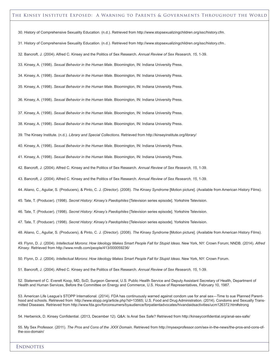#### The Kinsey Institute Exposed: A Warning to Parents & Governments Throughout the World

30. History of Comprehensive Sexuality Education. (n.d.). Retrieved from http://www.stopsexualizingchildren.org/ssc/history.cfm.

31. History of Comprehensive Sexuality Education. (n.d.). Retrieved from http://www.stopsexualizingchildren.org/ssc/history.cfm..

32. Bancroft, J. (2004). Alfred C. Kinsey and the Politics of Sex Research. *Annual Review of Sex Research, 15*, 1-39.

33. Kinsey, A. (1998). *Sexual Behavior in the Human Male*. Bloomington, IN: Indiana University Press.

34. Kinsey, A. (1998). *Sexual Behavior in the Human Male*. Bloomington, IN: Indiana University Press.

35. Kinsey, A. (1998). *Sexual Behavior in the Human Male*. Bloomington, IN: Indiana University Press.

36. Kinsey, A. (1998). *Sexual Behavior in the Human Male*. Bloomington, IN: Indiana University Press.

37. Kinsey, A. (1998). *Sexual Behavior in the Human Male*. Bloomington, IN: Indiana University Press.

38. Kinsey, A. (1998). *Sexual Behavior in the Human Male*. Bloomington, IN: Indiana University Press.

39. The Kinsey Institute. (n.d.). *Library and Special Collections*. Retrieved from http://kinseyinstitute.org/library/

40. Kinsey, A. (1998). *Sexual Behavior in the Human Male*. Bloomington, IN: Indiana University Press.

41. Kinsey, A. (1998). *Sexual Behavior in the Human Male*. Bloomington, IN: Indiana University Press.

42. Bancroft, J. (2004). Alfred C. Kinsey and the Politics of Sex Research. *Annual Review of Sex Research, 15*, 1-39.

43. Bancroft, J. (2004). Alfred C. Kinsey and the Politics of Sex Research. *Annual Review of Sex Research, 15*, 1-39.

44. Aliano, C., Aguilar, S. (Producers), & Pinto, C. J. (Director). (2008). *The Kinsey Syndrome* [Motion picture]. (Available from American History Films).

45. Tate, T. (Producer). (1998). *Secret History: Kinsey's Paedophiles* [Television series episode]. Yorkshire Television.

46. Tate, T. (Producer). (1998). *Secret History: Kinsey's Paedophiles* [Television series episode]. Yorkshire Television.

47. Tate, T. (Producer). (1998). *Secret History: Kinsey's Paedophiles* [Television series episode]. Yorkshire Television.

48. Aliano, C., Aguilar, S. (Producers), & Pinto, C. J. (Director). (2008). *The Kinsey Syndrome* [Motion picture]. (Available from American History Films).

49. Flynn, D. J. (2004). Intellectual Morons: How Ideology Makes Smart People Fall for Stupid Ideas. New York, NY: Crown Forum; NNDB. (2014). Alfred *Kinsey*. Retrieved from http://www.nndb.com/people/413/000059236/

50. Flynn, D. J. (2004). *Intellectual Morons: How Ideology Makes Smart People Fall for Stupid Ideas*. New York, NY: Crown Forum.

51. Bancroft, J. (2004). Alfred C. Kinsey and the Politics of Sex Research. *Annual Review of Sex Research, 15*, 1-39.

52. Statement of C. Everett Koop, MD, ScD, Surgeon General, U.S. Public Health Service and Deputy Assistant Secretary of Health, Department of Health and Human Services, Before the Committee on Energy and Commerce, U.S. House of Representatives, February 10, 1987.

53. American Life League's STOPP International. (2014). FDA has continuously warned against condom use for anal sex—Time to sue Planned Parenthood and schools. Retrieved from http://www.stopp.org/article.php?id=13565; U.S. Food and Drug Administration. (2014). Condoms and Sexually Transmitted Diseases. Retrieved from http://www.fda.gov/forconsumers/byaudience/forpatientadvocates/hivandaidsactivities/ucm126372.htm#strong

54. Herbenick, D. Kinsey Confidential. (2013, December 12). Q&A: Is Anal Sex Safe? Retrieved from http://kinseyconfidential.org/anal-sex-safe/

55. My Sex Professor. (2011). *The Pros and Cons of the .XXX Domain*. Retrieved from http://mysexprofessor.com/sex-in-the-news/the-pros-and-cons-ofthe-xxx-domain/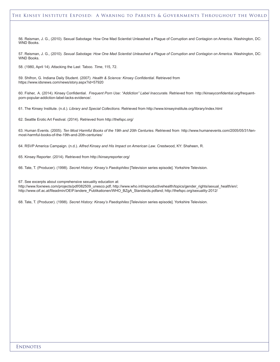#### The Kinsey Institute Exposed: A Warning to Parents & Governments Throughout the World

56. Reisman, J. G., (2010). Sexual Sabotage: How One Mad Scientist Unleashed a Plague of Corruption and Contagion on America. Washington, DC: WND Books.

57. Reisman, J. G., (2010). Sexual Sabotage: How One Mad Scientist Unleashed a Plague of Corruption and Contagion on America. Washington, DC: WND Books.

58. (1980, April 14). Attacking the Last Taboo. *Time*, 115, 72.

59. Shifron, G. Indiana Daily Student. (2007). *Health & Science: Kinsey Confidential*. Retrieved from https://www.idsnews.com/news/story.aspx?id=57920

60. Fisher, A. (2014). Kinsey Confidential. *Frequent Porn Use: "Addiction" Label Inaccurate.* Retrieved from http://kinseyconfidential.org/frequentporn-popular-addiction-label-lacks-evidence/.

61. The Kinsey Institute. (n.d.). *Library and Special Collections*. Retrieved from http://www.kinseyinstitute.org/library/index.html

62. Seattle Erotic Art Festival. (2014). Retrieved from http://thefspc.org/

63. Human Events. (2005). *Ten Most Harmful Books of the 19th and 20th Centuries*. Retrieved from http://www.humanevents.com/2005/05/31/tenmost-harmful-books-of-the-19th-and-20th-centuries/

64. RSVP America Campaign. (n.d.). *Alfred Kinsey and His Impact on American Law*. Crestwood, KY: Shaheen, R.

65. Kinsey Reporter. (2014). Retrieved from http://kinseyreporter.org/

66. Tate, T. (Producer). (1998). *Secret History: Kinsey's Paedophiles* [Television series episode]. Yorkshire Television.

67. See excerpts about comprehensive sexuality education at:

http://www.foxnews.com/projects/pdf/082509\_unesco.pdf; http://www.who.int/reproductivehealth/topics/gender\_rights/sexual\_health/en/; http://www.oif.ac.at/fileadmin/OEIF/andere\_Publikationen/WHO\_BZgA\_Standards.pdfand; http://thefspc.org/sexuality-2012/

68. Tate, T. (Producer). (1998). *Secret History: Kinsey's Paedophiles* [Television series episode]. Yorkshire Television.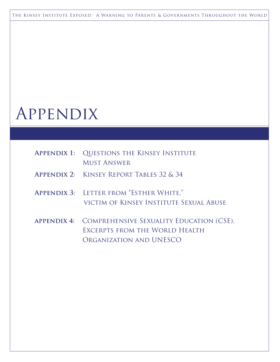The Kinsey Institute Exposed: A Warning to Parents & Governments Throughout the World

# Appendix

| <b>APPENDIX 1: QUESTIONS THE KINSEY INSTITUTE</b><br><b>MUST ANSWER</b>                                           |
|-------------------------------------------------------------------------------------------------------------------|
| <b>APPENDIX 2: KINSEY REPORT TABLES 32 &amp; 34</b>                                                               |
| APPENDIX 3: LETTER FROM "ESTHER WHITE,"<br>VICTIM OF KINSEY INSTITUTE SEXUAL ABUSE                                |
| APPENDIX 4: COMPREHENSIVE SEXUALITY EDUCATION (CSE),<br>EXCERPTS FROM THE WORLD HEALTH<br>ORGANIZATION AND UNESCO |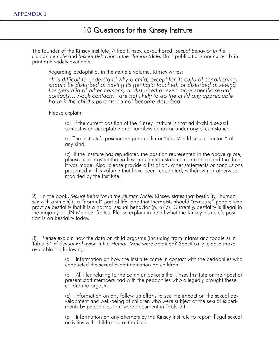### 10 Questions for the Kinsey Institute

The founder of the Kinsey Institute, Alfred Kinsey, co-authored, *Sexual Behavior in the Human Female* and *Sexual Behavior in the Human Male.* Both publications are currently in print and widely available.

Regarding pedophilia, in the *Female* volume, Kinsey writes:

"It is difficult to understand why a child, except for its cultural conditioning,<br>should be disturbed at having its genitalia touched, or disturbed at seeing *the genitalia of other persons, or disturbed at even more specific sexual contacts… Adult contacts…are not likely to do the child any appreciable harm if the child's parents do not become disturbed."*

Please explain:

(a) If the current position of the Kinsey Institute is that adult-child sexual contact is an acceptable and harmless behavior under any circumstance.

(b) The Institute's position on pedophilia or "adult/child sexual contact" of any kind.

(c) If the institute has repudiated the position represented in the above quote, please also provide the earliest repudiation statement in context and the date it was made. Also, please provide a list of any other statements or conclusions presented in this volume that have been repudiated, withdrawn or otherwise modified by the Institute.

2) In the book, *Sexual Behavior in the Human Male,* Kinsey, states that bestiality, (human sex with animals) is a "normal" part of life, and that therapists should "reassure" people who practice bestiality that it is a normal sexual behavior (p. 677). Currently, bestiality is illegal in the majority of UN Member States. Please explain in detail what the Kinsey Institute's posi- tion is on bestiality today.

3) Please explain how the data on child orgasms (including from infants and toddlers) in Table 34 of *Sexual Behavior in the Human Male* were obtained? Specifically, please make available the following:

> (a) Information on how the Institute came in contact with the pedophiles who conducted the sexual experimentation on children.

> (b) All files relating to the communications the Kinsey Institute or their past or present staff members had with the pedophiles who allegedly brought these children to orgasm.

(c) Information on any follow up efforts to see the impact on the sexual development and well-being of children who were subject of the sexual experiments by pedophiles that were document in Table 34.

(d) Information on any attempts by the Kinsey Institute to report illegal sexual activities with children to authorities.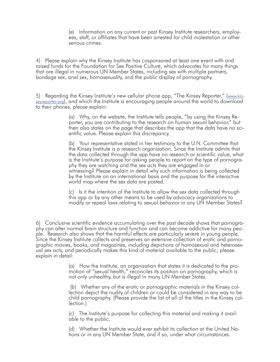(e) Information on any current or past Kinsey Institute researchers, employees, staff, or affiliates that have been arrested for child molestation or other serious crimes.

4) Please explain why the Kinsey Institute has cosponsored at least one event with and raised funds for the Foundation for Sex Positive Culture, which advocates for many things that are illegal in numerous UN Member States, including sex with multiple partners, bondage sex, anal sex, homosexuality, and the public display of pornography.

5) Regarding the Kinsey Institute's new cellular phone app, "The Kinsey Reporter," (www.kinseyreporter.org), and which the Institute is encouraging people around the world to download to their phones, please explain:

> (a) Why, on the website, the Institute tells people, "by using the Kinsey Re- porter, you are contributing to the research on human sexual behavior," but then also states on the page that describes the app that the data have no scientific value. Please explain this discrepancy.

> (b) Your representative stated in her testimony to the U.N. Committee that the Kinsey Institute is a research organization. Since the Institute admits that the data collected through the app have no research or scientific value, what is the Institute's purpose for asking people to report on the type of pornography they are watching and the sex acts they are engaged in or witnessing? Please explain in detail why such information is being collected by the Institute on an international basis and the purpose for the interactive world map where the sex data are posted.

> (c) Is it the intention of the Institute to allow the sex data collected through this app or by any other means to be used by advocacy organizations to modify or repeal laws relating to sexual behavior in any UN Member States?

6) Conclusive scientific evidence accumulating over the past decade shows that pornography can alter normal brain structure and function and can become addictive for many people. Research also shows that the harmful effects are particularly severe in young people. Since the Kinsey Institute collects and preserves an extensive collection of erotic and pornographic movies, books, and magazines, including depictions of homosexual and heterosexual sex acts, and periodically makes this kind of material available to the public, please explain in detail:

> (a) How the Institute, an organization that states it is dedicated to the promotion of "sexual health," reconciles its position on pornography, which is not only unhealthy, but is illegal in many UN Member States.

(b) Whether any of the erotic or pornographic materials in the Kinsey col- lection depict the nudity of children or could be considered in any way to be child pornography. (Please provide the list of all of the titles in the Kinsey col- lection.)

(c) The Institute's purpose for collecting this material and making it available to the public.

(d) Whether the Institute would ever exhibit its collection at the United Nations or in any UN Member State, and if so, under what circumstances.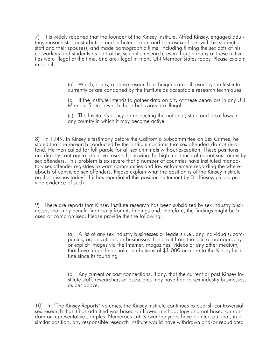7) It is widely reported that the founder of the Kinsey Institute, Alfred Kinsey, engaged adultery, masochistic masturbation and in heterosexual and homosexual sex (with his students, staff and their spouses), and made pornographic films, including filming the sex acts of his co-workers and students as part of his scientific research, even though many of these activi- ties were illegal at the time, and are illegal in many UN Member States today. Please explain in detail:

> (a) Which, if any, of these research techniques are still used by the Institute currently or are condoned by the Institute as acceptable research techniques.

(b) If the Institute intends to gather data on any of these behaviors in any UN Member State in which these behaviors are illegal.

(c) The Institute's policy on respecting the national, state and local laws in any country in which it may become active.

8) In 1949, in Kinsey's testimony before the California Subcommittee on Sex Crimes, he stated that the research conducted by the Institute confirms that sex offenders do not re-of- fend. He then called for full parole for all sex criminals without exception. These positions are directly contrary to extensive research showing the high incidence of repeat sex crimes by sex offenders. This problem is so severe that a number of countries have instituted manda-<br>tory sex offender registries to warn communities and law enforcement regarding the where-<br>abouts of convicted sex offenders. Please on these issues today? If it has repudiated this position statement by Dr. Kinsey, please pro- vide evidence of such.

9) There are reports that Kinsey Institute research has been subsidized by sex industry businesses that may benefit financially from its findings and, therefore, the findings might be biased or compromised. Please provide the the following:

> (a) A list of any sex industry businesses or leaders (i.e., any individuals, companies, organizations, or businesses that profit from the sale of pornography or explicit images via the Internet, magazines, videos or any other medium) that have made financial contributions of \$1,000 or more to the Kinsey Institute since its founding.

(b) Any current or past connections, if any, that the current or past Kinsey Institute staff, researchers or associates may have had to sex industry businesses, as per above..

10) In "The Kinsey Reports" volumes, the Kinsey Institute continues to publish controversial sex research that it has admitted was based on flawed methodology and not based on random or representative samples. Numerous critics over the years have pointed out that, in a similar position, any responsible research institute would have withdrawn and/or repudiated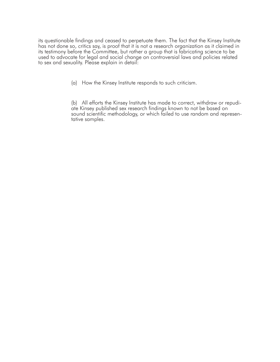its questionable findings and ceased to perpetuate them. The fact that the Kinsey Institute has not done so, critics say, is proof that it is not a research organization as it claimed in its testimony before the Committee, but rather a group that is fabricating science to be used to advocate for legal and social change on controversial laws and policies related to sex and sexuality. Please explain in detail:

(a) How the Kinsey Institute responds to such criticism.

(b) All efforts the Kinsey Institute has made to correct, withdraw or repudiate Kinsey published sex research findings known to not be based on sound scientific methodology, or which failed to use random and representative samples.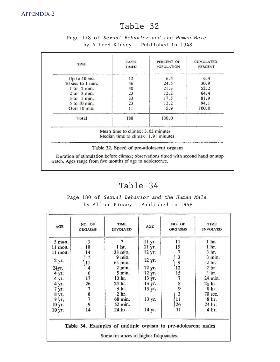### Table 32

### Page 178 of Sexual Behavior and the Human Male by Alfred Kinsey - Published in 1948

| Up to 10 sec.     |                                                                          |       |              |
|-------------------|--------------------------------------------------------------------------|-------|--------------|
|                   | 12                                                                       | 6.4   | 6.4          |
| 10 sec. to 1 min. | 24.5<br>46                                                               |       | 30.9         |
| $1$ to $2$ min.   | 40                                                                       | 21.3  | 52.2<br>64.4 |
| $2$ to $3$ min.   | 23                                                                       | 12.2  |              |
| $3$ to $5$ min.   | 33                                                                       | 17.5  | 81.9         |
| 5 to 10 min.      | 23                                                                       | 12.2  | 94.1         |
| Over 10 min.      | 11                                                                       | 5.9   | 100.0        |
| Total             | 188                                                                      | 100.0 |              |
|                   | Mean time to climax: 3.02 minutes<br>Median time to climax: 1.91 minutes |       |              |

### Table 34

Page 180 of Sexual Behavior and the Human Male by Alfred Kinsey - Published in 1948

| AGE       | NO. OF<br><b>ORGASMS</b> | <b>TIME</b><br>INVOLVED | AGE    | NO. OF<br>ORGASMS | TIME<br><b>INVOLVED</b>   |
|-----------|--------------------------|-------------------------|--------|-------------------|---------------------------|
| $5$ mon.  | 3                        | v                       | 11 yr. | 11                | 1 hr.                     |
| 11 mon.   | 10                       | 1 hr.                   | 11 yr. | 19                | 1 <sub>hr.</sub>          |
| $11$ mon. | 14                       | 38 min.                 | 12 yr. |                   | 3 <sub>hr</sub>           |
| 2 yr.     | 11                       | 9 min.<br>65 min.       | 12 yr. | 3<br>9            | 3 min.<br>2 <sub>hr</sub> |
| 21уг.     |                          | $2 \text{ min.}$        | 12 yr. | 12                | 2 <sub>hr</sub>           |
| 4 yr.     | 6                        | 5 min.                  | 12 yr. | 15                | 1 <sub>hr</sub>           |
| 4 yr.     | 17                       | 10 hr.                  | 13 yr. |                   | 24 min.                   |
| 4 yr.     | 26                       | 24 hr.                  | 13 yr. |                   | $2\frac{1}{2}$ hr.        |
| 7 yr.     |                          | 3 <sub>hr</sub>         | 13 yr. |                   | 8 br.                     |
| 8 yr.     |                          | 2 hr.                   |        | 7893              | 70 sec.                   |
| 9 уг.     | 879                      | 68 min.                 | 13 yr. | 11                | 8 hr.                     |
| 10 yr.    |                          | 52 min.                 |        | 26                | 24 hr.                    |
| 10 yr.    | 14                       | 24 hr.                  | 14 ут. | 11                | 4 hr.                     |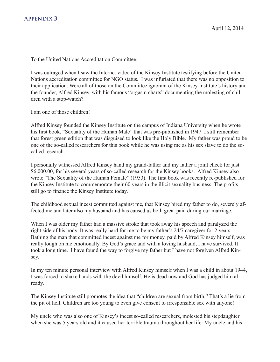To the United Nations Accreditation Committee:

I was outraged when I saw the Internet video of the Kinsey Institute testifying before the United Nations accreditation committee for NGO status. I was infuriated that there was no opposition to their application. Were all of those on the Committee ignorant of the Kinsey Institute's history and the founder, Alfred Kinsey, with his famous "orgasm charts" documenting the molesting of children with a stop-watch?

I am one of those children!

Alfred Kinsey founded the Kinsey Institute on the campus of Indiana University when he wrote his first book, "Sexuality of the Human Male" that was pre-published in 1947. I still remember that forest green edition that was disguised to look like the Holy Bible. My father was proud to be 6.6.6. one of the so-called researchers for this book while he was using me as his sex slave to do the socalled research.

I personally witnessed Alfred Kinsey hand my grand-father and my father a joint check for just \$6,000.00, for his several years of so-called research for the Kinsey books. Alfred Kinsey also wrote "The Sexuality of the Human Female" (1953). The first book was recently re-published for the Kinsey Institute to commemorate their 60 years in the illicit sexuality business. The profits still go to finance the Kinsey Institute today.

The childhood sexual incest committed against me, that Kinsey hired my father to do, severely affected me and later also my husband and has caused us both great pain during our marriage.

When I was older my father had a massive stroke that took away his speech and paralyzed the right side of his body. It was really hard for me to be my father's 24/7 caregiver for 2 years. Bathing the man that committed incest against me for money, paid by Alfred Kinsey himself, was really tough on me emotionally. By God's grace and with a loving husband, I have survived. It took a long time. I have found the way to forgive my father but I have not forgiven Alfred Kinsey.

In my ten minute personal interview with Alfred Kinsey himself when I was a child in about 1944, I was forced to shake hands with the devil himself. He is dead now and God has judged him already.

The Kinsey Institute still promotes the idea that "children are sexual from birth." That's a lie from the pit of hell. Children are too young to even give consent to irresponsible sex with anyone!

My uncle who was also one of Kinsey's incest so-called researchers, molested his stepdaughter when she was 5 years old and it caused her terrible trauma throughout her life. My uncle and his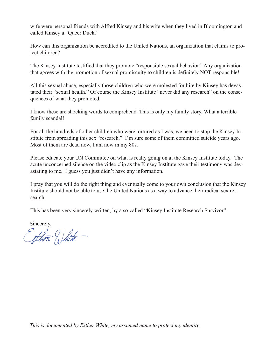wife were personal friends with Alfred Kinsey and his wife when they lived in Bloomington and called Kinsey a "Queer Duck."

How can this organization be accredited to the United Nations, an organization that claims to protect children?

The Kinsey Institute testified that they promote "responsible sexual behavior." Any organization that agrees with the promotion of sexual promiscuity to children is definitely NOT responsible!

All this sexual abuse, especially those children who were molested for hire by Kinsey has devastated their "sexual health." Of course the Kinsey Institute "never did any research" on the consequences of what they promoted.

I know these are shocking words to comprehend. This is only my family story. What a terrible family scandal!

For all the hundreds of other children who were tortured as I was, we need to stop the Kinsey Institute from spreading this sex "research." I'm sure some of them committed suicide years ago. Most of them are dead now, I am now in my 80s.

Please educate your UN Committee on what is really going on at the Kinsey Institute today. The acute unconcerned silence on the video clip as the Kinsey Institute gave their testimony was devastating to me. I guess you just didn't have any information.

I pray that you will do the right thing and eventually come to your own conclusion that the Kinsey Institute should not be able to use the United Nations as a way to advance their radical sex research.

This has been very sincerely written, by a so-called "Kinsey Institute Research Survivor".

Sincerely,

Exther White

*This is documented by Esther White, my assumed name to protect my identity.*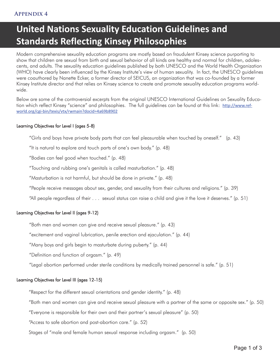## **United Nations Sexuality Education Guidelines and Standards Reflecting Kinsey Philosophies**

Modern comprehensive sexuality education programs are mostly based on fraudulent Kinsey science purporting to show that children are sexual from birth and sexual behavior of all kinds are healthy and normal for children, adolescents, and adults. The sexuality education guidelines published by both UNESCO and the World Health Organization (WHO) have clearly been influenced by the Kinsey Institute's view of human sexuality. In fact, the UNESCO guidelines were coauthored by Nanette Ecker, a former director of SEICUS, an organization that was co-founded by a former Kinsey Institute director and that relies on Kinsey science to create and promote sexuality education programs worldwide.

Below are some of the controversial excerpts from the original UNESCO International Guidelines on Sexuality Education which reflect Kinsey "science" and philosophies. The full guidelines can be found at this link: http://www.refworld.org/cgi-bin/texis/vtx/rwmain?docid=4a69b8902

#### Learning Objectives for Level I (ages 5-8)

"Girls and boys have private body parts that can feel pleasurable when touched by oneself." (p. 43)

"It is natural to explore and touch parts of one's own body." (p. 48)

"Bodies can feel good when touched." (p. 48)

"Touching and rubbing one's genitals is called masturbation." (p. 48)

"Masturbation is not harmful, but should be done in private." (p. 48)

"People receive messages about sex, gender, and sexuality from their cultures and religions." (p. 39)

"All people regardless of their . . . sexual status can raise a child and give it the love it deserves." (p. 51)

#### Learning Objectives for Level II (ages 9-12)

"Both men and women can give and receive sexual pleasure." (p. 43)

"excitement and vaginal lubrication, penile erection and ejaculation." (p. 44)

"Many boys and girls begin to masturbate during puberty." (p. 44)

"Definition and function of orgasm." (p. 49)

"Legal abortion performed under sterile conditions by medically trained personnel is safe." (p. 51)

#### Learning Objectives for Level III (ages 12-15)

"Respect for the different sexual orientations and gender identity." (p. 48)

"Both men and women can give and receive sexual pleasure with a partner of the same or opposite sex." (p. 50)

"Everyone is responsible for their own and their partner's sexual pleasure" (p. 50)

"Access to safe abortion and post-abortion care." (p. 52)

Stages of "male and female human sexual response including orgasm." (p. 50)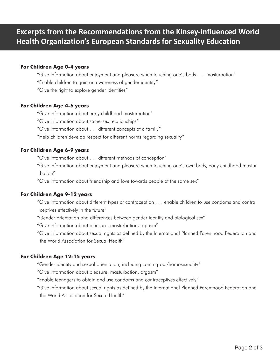### **Excerpts from the Recommendations from the Kinsey-influenced World Health Organization's European Standards for Sexuality Education**

### **For Children Age 0-4 years**

"Give information about enjoyment and pleasure when touching one's body . . . masturbation"

"Enable children to gain an awareness of gender identity"

"Give the right to explore gender identities"

#### **For Children Age 4-6 years**

"Give information about early childhood masturbation"

"Give information about same-sex relationships"

"Give information about . . . different concepts of a family"

"Help children develop respect for different norms regarding sexuality"

#### **For Children Age 6-9 years**

"Give information about . . . different methods of conception"

"Give information about enjoyment and pleasure when touching one's own body, early childhood mastur bation"

"Give information about friendship and love towards people of the same sex"

#### **For Children Age 9-12 years**

"Give information about different types of contraception . . . enable children to use condoms and contra ceptives effectively in the future"

"Gender orientation and differences between gender identity and biological sex"

"Give information about pleasure, masturbation, orgasm"

"Give information about sexual rights as defined by the International Planned Parenthood Federation and the World Association for Sexual Health"

#### **For Children Age 12-15 years**

"Gender identity and sexual orientation, including coming-out/homosexuality"

"Give information about pleasure, masturbation, orgasm"

"Enable teenagers to obtain and use condoms and contraceptives effectively"

"Give information about sexual rights as defined by the International Planned Parenthood Federation and the World Association for Sexual Health"